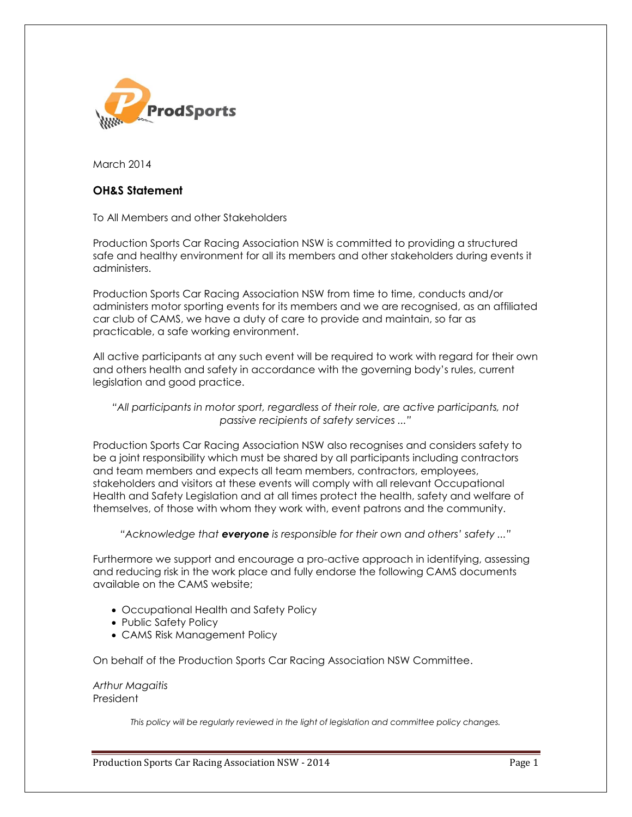

March 2014

# **OH&S Statement**

To All Members and other Stakeholders

Production Sports Car Racing Association NSW is committed to providing a structured safe and healthy environment for all its members and other stakeholders during events it administers.

Production Sports Car Racing Association NSW from time to time, conducts and/or administers motor sporting events for its members and we are recognised, as an affiliated car club of CAMS, we have a duty of care to provide and maintain, so far as practicable, a safe working environment.

All active participants at any such event will be required to work with regard for their own and others health and safety in accordance with the governing body's rules, current legislation and good practice.

# *"All participants in motor sport, regardless of their role, are active participants, not passive recipients of safety services ..."*

Production Sports Car Racing Association NSW also recognises and considers safety to be a joint responsibility which must be shared by all participants including contractors and team members and expects all team members, contractors, employees, stakeholders and visitors at these events will comply with all relevant Occupational Health and Safety Legislation and at all times protect the health, safety and welfare of themselves, of those with whom they work with, event patrons and the community.

*"Acknowledge that everyone is responsible for their own and others' safety ..."*

Furthermore we support and encourage a pro-active approach in identifying, assessing and reducing risk in the work place and fully endorse the following CAMS documents available on the CAMS website;

- Occupational Health and Safety Policy
- Public Safety Policy
- CAMS Risk Management Policy

On behalf of the Production Sports Car Racing Association NSW Committee.

### *Arthur Magaitis* President

*This policy will be regularly reviewed in the light of legislation and committee policy changes.*

Production Sports Car Racing Association NSW - 2014 **Page 1** Page 1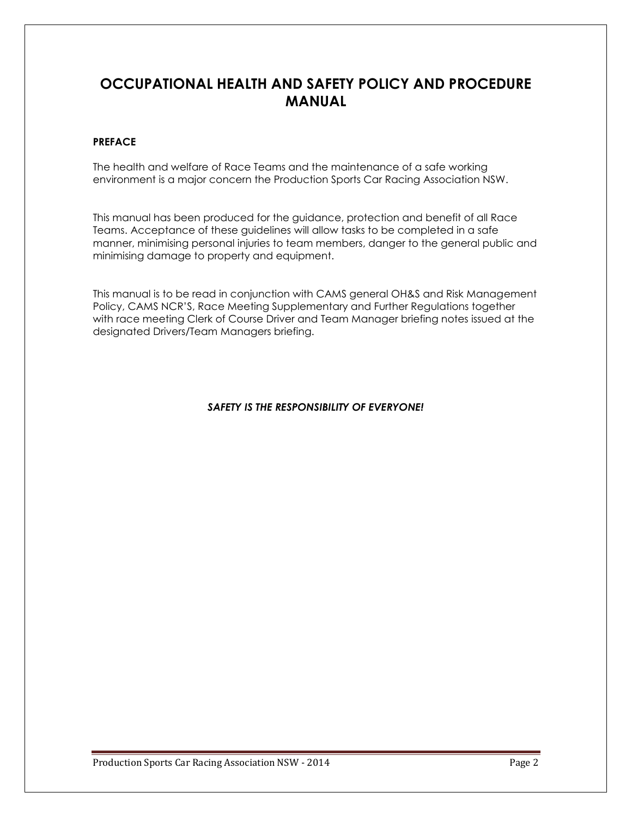# **OCCUPATIONAL HEALTH AND SAFETY POLICY AND PROCEDURE MANUAL**

# **PREFACE**

The health and welfare of Race Teams and the maintenance of a safe working environment is a major concern the Production Sports Car Racing Association NSW.

This manual has been produced for the guidance, protection and benefit of all Race Teams. Acceptance of these guidelines will allow tasks to be completed in a safe manner, minimising personal injuries to team members, danger to the general public and minimising damage to property and equipment.

This manual is to be read in conjunction with CAMS general OH&S and Risk Management Policy, CAMS NCR'S, Race Meeting Supplementary and Further Regulations together with race meeting Clerk of Course Driver and Team Manager briefing notes issued at the designated Drivers/Team Managers briefing.

# *SAFETY IS THE RESPONSIBILITY OF EVERYONE!*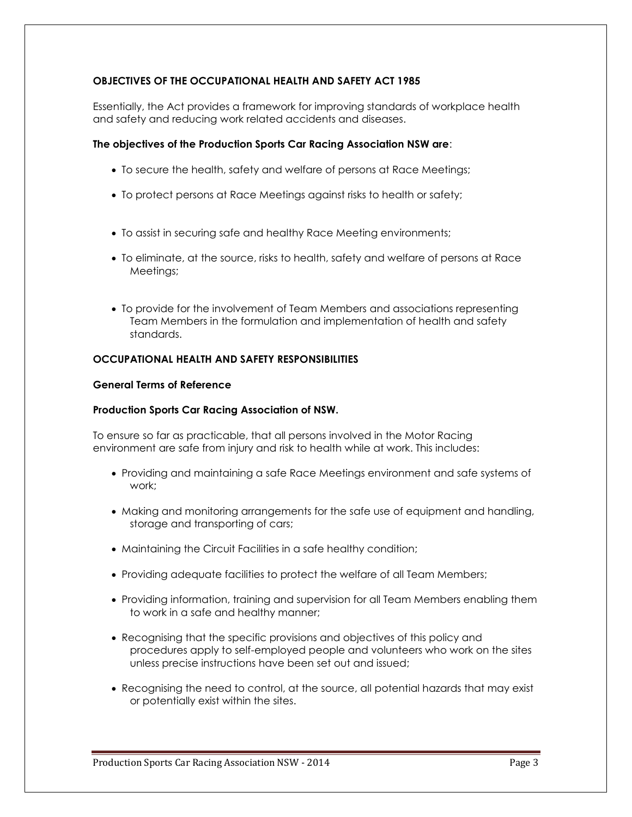# **OBJECTIVES OF THE OCCUPATIONAL HEALTH AND SAFETY ACT 1985**

Essentially, the Act provides a framework for improving standards of workplace health and safety and reducing work related accidents and diseases.

# **The objectives of the Production Sports Car Racing Association NSW are**:

- To secure the health, safety and welfare of persons at Race Meetings;
- To protect persons at Race Meetings against risks to health or safety;
- To assist in securing safe and healthy Race Meeting environments;
- To eliminate, at the source, risks to health, safety and welfare of persons at Race Meetings;
- To provide for the involvement of Team Members and associations representing Team Members in the formulation and implementation of health and safety standards.

# **OCCUPATIONAL HEALTH AND SAFETY RESPONSIBILITIES**

### **General Terms of Reference**

# **Production Sports Car Racing Association of NSW.**

To ensure so far as practicable, that all persons involved in the Motor Racing environment are safe from injury and risk to health while at work. This includes:

- Providing and maintaining a safe Race Meetings environment and safe systems of work;
- Making and monitoring arrangements for the safe use of equipment and handling, storage and transporting of cars;
- Maintaining the Circuit Facilities in a safe healthy condition;
- Providing adequate facilities to protect the welfare of all Team Members;
- Providing information, training and supervision for all Team Members enabling them to work in a safe and healthy manner;
- Recognising that the specific provisions and objectives of this policy and procedures apply to self-employed people and volunteers who work on the sites unless precise instructions have been set out and issued;
- Recognising the need to control, at the source, all potential hazards that may exist or potentially exist within the sites.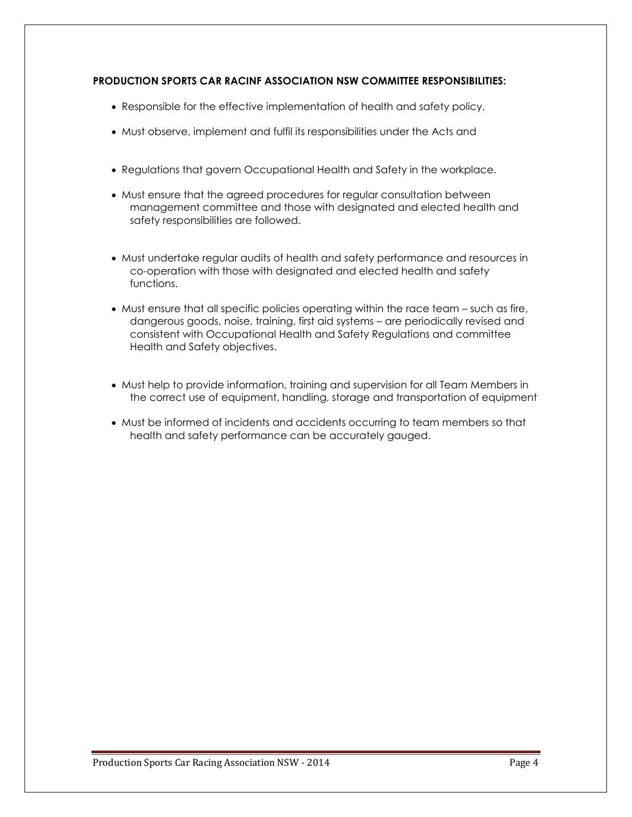# **PRODUCTION SPORTS CAR RACINF ASSOCIATION NSW COMMITTEE RESPONSIBILITIES:**

- Responsible for the effective implementation of health and safety policy.
- Must observe, implement and fulfil its responsibilities under the Acts and
- Regulations that govern Occupational Health and Safety in the workplace.
- Must ensure that the agreed procedures for regular consultation between management committee and those with designated and elected health and safety responsibilities are followed.
- Must undertake regular audits of health and safety performance and resources in co-operation with those with designated and elected health and safety functions.
- Must ensure that all specific policies operating within the race team such as fire, dangerous goods, noise, training, first aid systems – are periodically revised and consistent with Occupational Health and Safety Regulations and committee Health and Safety objectives.
- Must help to provide information, training and supervision for all Team Members in the correct use of equipment, handling, storage and transportation of equipment
- Must be informed of incidents and accidents occurring to team members so that health and safety performance can be accurately gauged.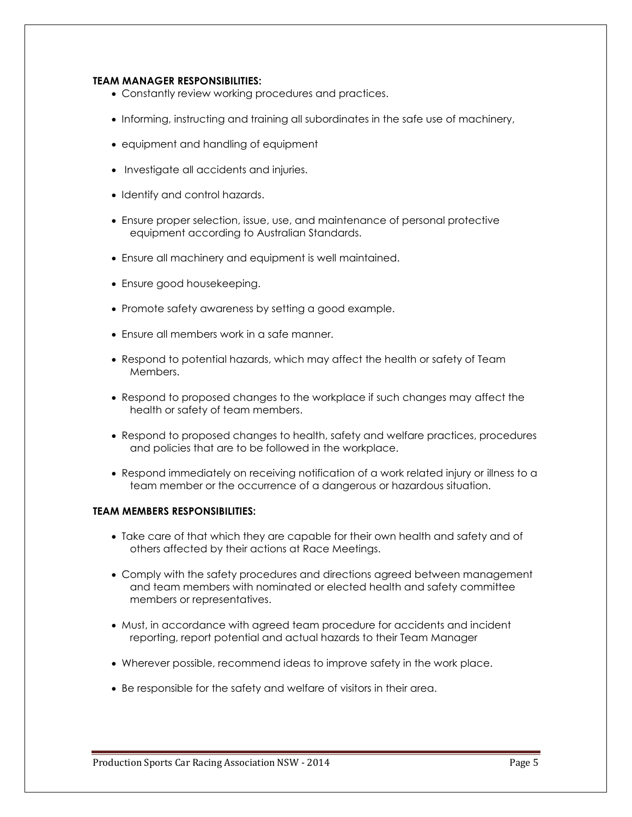# **TEAM MANAGER RESPONSIBILITIES:**

- Constantly review working procedures and practices.
- Informing, instructing and training all subordinates in the safe use of machinery,
- equipment and handling of equipment
- Investigate all accidents and injuries.
- Identify and control hazards.
- Ensure proper selection, issue, use, and maintenance of personal protective equipment according to Australian Standards.
- Ensure all machinery and equipment is well maintained.
- Ensure good housekeeping.
- Promote safety awareness by setting a good example.
- Ensure all members work in a safe manner.
- Respond to potential hazards, which may affect the health or safety of Team Members.
- Respond to proposed changes to the workplace if such changes may affect the health or safety of team members.
- Respond to proposed changes to health, safety and welfare practices, procedures and policies that are to be followed in the workplace.
- Respond immediately on receiving notification of a work related injury or illness to a team member or the occurrence of a dangerous or hazardous situation.

# **TEAM MEMBERS RESPONSIBILITIES:**

- Take care of that which they are capable for their own health and safety and of others affected by their actions at Race Meetings.
- Comply with the safety procedures and directions agreed between management and team members with nominated or elected health and safety committee members or representatives.
- Must, in accordance with agreed team procedure for accidents and incident reporting, report potential and actual hazards to their Team Manager
- Wherever possible, recommend ideas to improve safety in the work place.
- Be responsible for the safety and welfare of visitors in their area.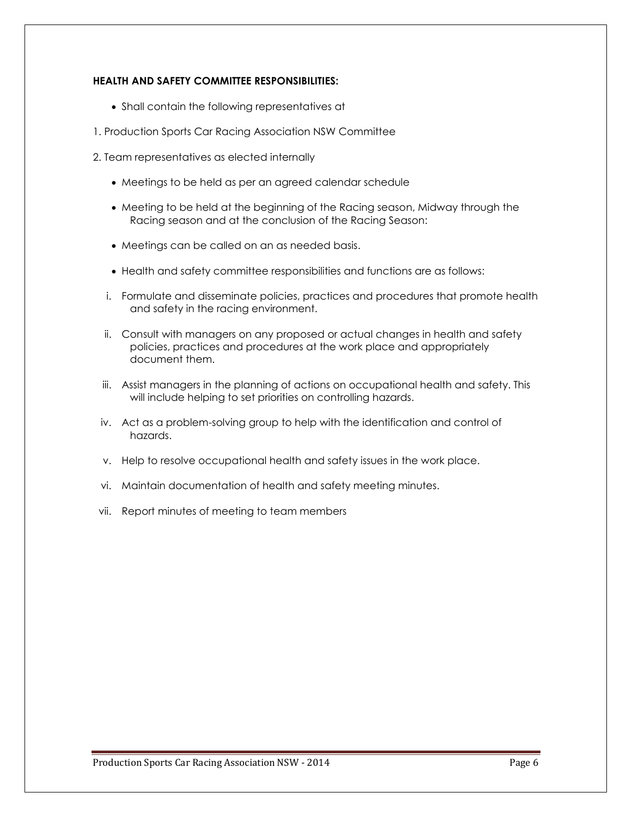# **HEALTH AND SAFETY COMMITTEE RESPONSIBILITIES:**

- Shall contain the following representatives at
- 1. Production Sports Car Racing Association NSW Committee
- 2. Team representatives as elected internally
	- Meetings to be held as per an agreed calendar schedule
	- Meeting to be held at the beginning of the Racing season, Midway through the Racing season and at the conclusion of the Racing Season:
	- Meetings can be called on an as needed basis.
	- Health and safety committee responsibilities and functions are as follows:
	- i. Formulate and disseminate policies, practices and procedures that promote health and safety in the racing environment.
	- ii. Consult with managers on any proposed or actual changes in health and safety policies, practices and procedures at the work place and appropriately document them.
	- iii. Assist managers in the planning of actions on occupational health and safety. This will include helping to set priorities on controlling hazards.
	- iv. Act as a problem-solving group to help with the identification and control of hazards.
	- v. Help to resolve occupational health and safety issues in the work place.
	- vi. Maintain documentation of health and safety meeting minutes.
- vii. Report minutes of meeting to team members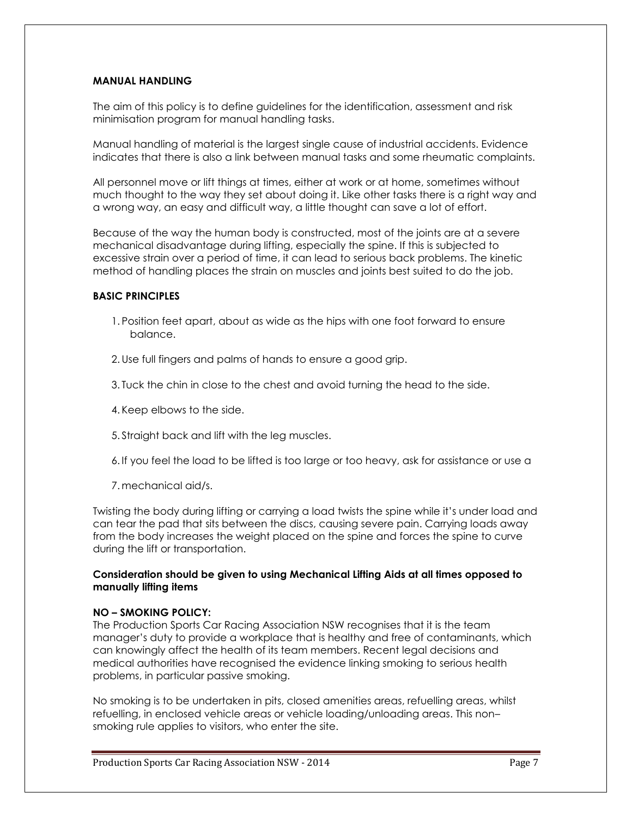# **MANUAL HANDLING**

The aim of this policy is to define guidelines for the identification, assessment and risk minimisation program for manual handling tasks.

Manual handling of material is the largest single cause of industrial accidents. Evidence indicates that there is also a link between manual tasks and some rheumatic complaints.

All personnel move or lift things at times, either at work or at home, sometimes without much thought to the way they set about doing it. Like other tasks there is a right way and a wrong way, an easy and difficult way, a little thought can save a lot of effort.

Because of the way the human body is constructed, most of the joints are at a severe mechanical disadvantage during lifting, especially the spine. If this is subjected to excessive strain over a period of time, it can lead to serious back problems. The kinetic method of handling places the strain on muscles and joints best suited to do the job.

# **BASIC PRINCIPLES**

- 1. Position feet apart, about as wide as the hips with one foot forward to ensure balance.
- 2. Use full fingers and palms of hands to ensure a good grip.
- 3. Tuck the chin in close to the chest and avoid turning the head to the side.
- 4. Keep elbows to the side.
- 5. Straight back and lift with the leg muscles.
- 6. If you feel the load to be lifted is too large or too heavy, ask for assistance or use a
- 7. mechanical aid/s.

Twisting the body during lifting or carrying a load twists the spine while it's under load and can tear the pad that sits between the discs, causing severe pain. Carrying loads away from the body increases the weight placed on the spine and forces the spine to curve during the lift or transportation.

# **Consideration should be given to using Mechanical Lifting Aids at all times opposed to manually lifting items**

### **NO – SMOKING POLICY:**

The Production Sports Car Racing Association NSW recognises that it is the team manager's duty to provide a workplace that is healthy and free of contaminants, which can knowingly affect the health of its team members. Recent legal decisions and medical authorities have recognised the evidence linking smoking to serious health problems, in particular passive smoking.

No smoking is to be undertaken in pits, closed amenities areas, refuelling areas, whilst refuelling, in enclosed vehicle areas or vehicle loading/unloading areas. This non– smoking rule applies to visitors, who enter the site.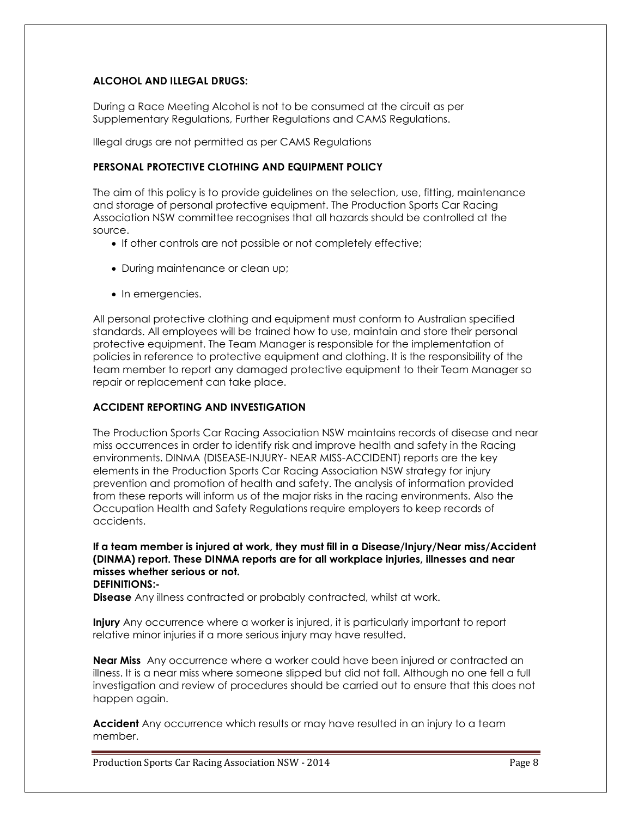# **ALCOHOL AND ILLEGAL DRUGS:**

During a Race Meeting Alcohol is not to be consumed at the circuit as per Supplementary Regulations, Further Regulations and CAMS Regulations.

Illegal drugs are not permitted as per CAMS Regulations

# **PERSONAL PROTECTIVE CLOTHING AND EQUIPMENT POLICY**

The aim of this policy is to provide guidelines on the selection, use, fitting, maintenance and storage of personal protective equipment. The Production Sports Car Racing Association NSW committee recognises that all hazards should be controlled at the source.

- If other controls are not possible or not completely effective;
- During maintenance or clean up;
- In emergencies.

All personal protective clothing and equipment must conform to Australian specified standards. All employees will be trained how to use, maintain and store their personal protective equipment. The Team Manager is responsible for the implementation of policies in reference to protective equipment and clothing. It is the responsibility of the team member to report any damaged protective equipment to their Team Manager so repair or replacement can take place.

# **ACCIDENT REPORTING AND INVESTIGATION**

The Production Sports Car Racing Association NSW maintains records of disease and near miss occurrences in order to identify risk and improve health and safety in the Racing environments. DINMA (DISEASE-INJURY- NEAR MISS-ACCIDENT) reports are the key elements in the Production Sports Car Racing Association NSW strategy for injury prevention and promotion of health and safety. The analysis of information provided from these reports will inform us of the major risks in the racing environments. Also the Occupation Health and Safety Regulations require employers to keep records of accidents.

**If a team member is injured at work, they must fill in a Disease/Injury/Near miss/Accident (DINMA) report. These DINMA reports are for all workplace injuries, illnesses and near misses whether serious or not. DEFINITIONS:-**

**Disease** Any illness contracted or probably contracted, whilst at work.

**Injury** Any occurrence where a worker is injured, it is particularly important to report relative minor injuries if a more serious injury may have resulted.

**Near Miss** Any occurrence where a worker could have been injured or contracted an illness. It is a near miss where someone slipped but did not fall. Although no one fell a full investigation and review of procedures should be carried out to ensure that this does not happen again.

**Accident** Any occurrence which results or may have resulted in an injury to a team member.

Production Sports Car Racing Association NSW - 2014 **Page 8** Page 8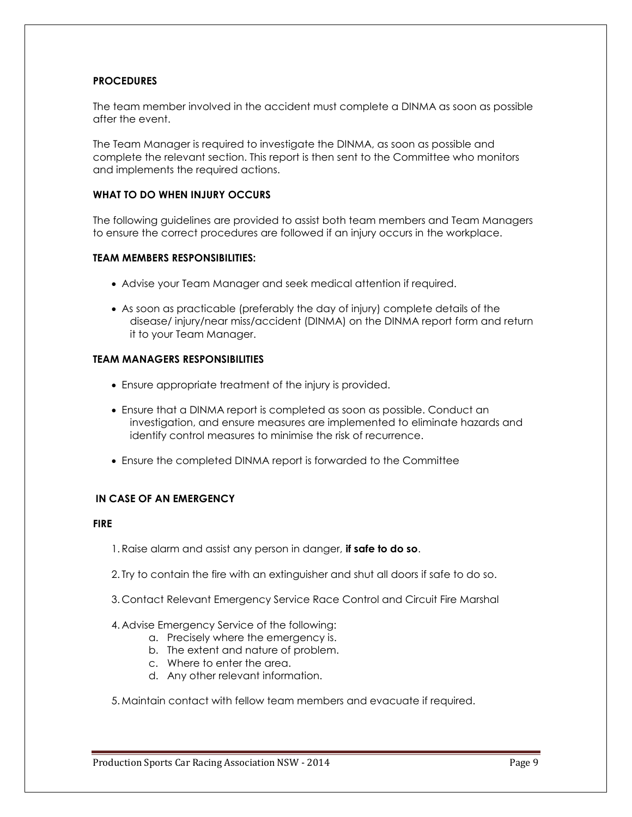# **PROCEDURES**

The team member involved in the accident must complete a DINMA as soon as possible after the event.

The Team Manager is required to investigate the DINMA, as soon as possible and complete the relevant section. This report is then sent to the Committee who monitors and implements the required actions.

# **WHAT TO DO WHEN INJURY OCCURS**

The following guidelines are provided to assist both team members and Team Managers to ensure the correct procedures are followed if an injury occurs in the workplace.

### **TEAM MEMBERS RESPONSIBILITIES:**

- Advise your Team Manager and seek medical attention if required.
- As soon as practicable (preferably the day of injury) complete details of the disease/ injury/near miss/accident (DINMA) on the DINMA report form and return it to your Team Manager.

# **TEAM MANAGERS RESPONSIBILITIES**

- Ensure appropriate treatment of the injury is provided.
- Ensure that a DINMA report is completed as soon as possible. Conduct an investigation, and ensure measures are implemented to eliminate hazards and identify control measures to minimise the risk of recurrence.
- Ensure the completed DINMA report is forwarded to the Committee

# **IN CASE OF AN EMERGENCY**

# **FIRE**

- 1. Raise alarm and assist any person in danger, **if safe to do so**.
- 2. Try to contain the fire with an extinguisher and shut all doors if safe to do so.
- 3. Contact Relevant Emergency Service Race Control and Circuit Fire Marshal

### 4. Advise Emergency Service of the following:

- a. Precisely where the emergency is.
- b. The extent and nature of problem.
- c. Where to enter the area.
- d. Any other relevant information.

5. Maintain contact with fellow team members and evacuate if required.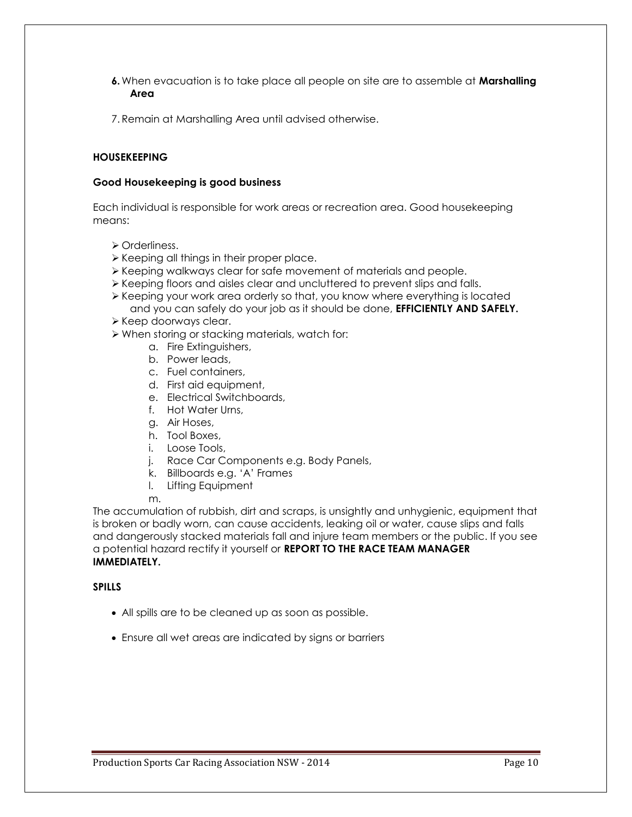- **6.** When evacuation is to take place all people on site are to assemble at **Marshalling Area**
- 7. Remain at Marshalling Area until advised otherwise.

# **HOUSEKEEPING**

# **Good Housekeeping is good business**

Each individual is responsible for work areas or recreation area. Good housekeeping means:

- **≻** Orderliness.
- $\triangleright$  Keeping all things in their proper place.
- Keeping walkways clear for safe movement of materials and people.
- Keeping floors and aisles clear and uncluttered to prevent slips and falls.
- Keeping your work area orderly so that, you know where everything is located and you can safely do your job as it should be done, **EFFICIENTLY AND SAFELY.**
- ≻ Keep doorways clear.
- When storing or stacking materials, watch for:
	- a. Fire Extinguishers,
	- b. Power leads,
	- c. Fuel containers,
	- d. First aid equipment,
	- e. Electrical Switchboards,
	- f. Hot Water Urns,
	- g. Air Hoses,
	- h. Tool Boxes,
	- i. Loose Tools,
	- j. Race Car Components e.g. Body Panels,
	- k. Billboards e.g. 'A' Frames
	- l. Lifting Equipment

m.

The accumulation of rubbish, dirt and scraps, is unsightly and unhygienic, equipment that is broken or badly worn, can cause accidents, leaking oil or water, cause slips and falls and dangerously stacked materials fall and injure team members or the public. If you see a potential hazard rectify it yourself or **REPORT TO THE RACE TEAM MANAGER IMMEDIATELY.**

# **SPILLS**

- All spills are to be cleaned up as soon as possible.
- Ensure all wet areas are indicated by signs or barriers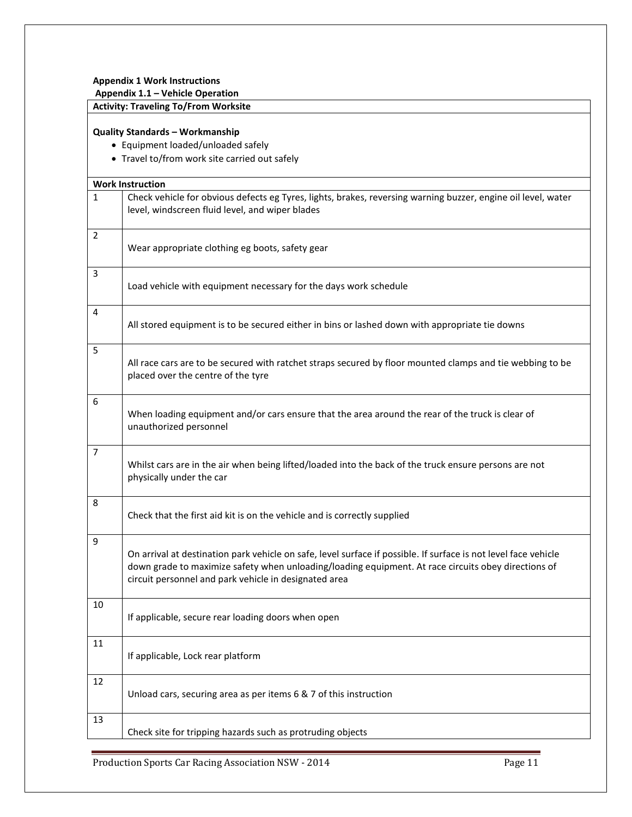### **Appendix 1 Work Instructions**

**Appendix 1.1 – Vehicle Operation**

# **Activity: Traveling To/From Worksite**

# **Quality Standards – Workmanship**

Equipment loaded/unloaded safely

• Travel to/from work site carried out safely

|                | <b>Work Instruction</b>                                                                                                                                                                                                                                                         |
|----------------|---------------------------------------------------------------------------------------------------------------------------------------------------------------------------------------------------------------------------------------------------------------------------------|
| $\mathbf{1}$   | Check vehicle for obvious defects eg Tyres, lights, brakes, reversing warning buzzer, engine oil level, water<br>level, windscreen fluid level, and wiper blades                                                                                                                |
| $\overline{2}$ | Wear appropriate clothing eg boots, safety gear                                                                                                                                                                                                                                 |
| 3              | Load vehicle with equipment necessary for the days work schedule                                                                                                                                                                                                                |
| 4              | All stored equipment is to be secured either in bins or lashed down with appropriate tie downs                                                                                                                                                                                  |
| 5              | All race cars are to be secured with ratchet straps secured by floor mounted clamps and tie webbing to be<br>placed over the centre of the tyre                                                                                                                                 |
| 6              | When loading equipment and/or cars ensure that the area around the rear of the truck is clear of<br>unauthorized personnel                                                                                                                                                      |
| 7              | Whilst cars are in the air when being lifted/loaded into the back of the truck ensure persons are not<br>physically under the car                                                                                                                                               |
| 8              | Check that the first aid kit is on the vehicle and is correctly supplied                                                                                                                                                                                                        |
| 9              | On arrival at destination park vehicle on safe, level surface if possible. If surface is not level face vehicle<br>down grade to maximize safety when unloading/loading equipment. At race circuits obey directions of<br>circuit personnel and park vehicle in designated area |
| 10             | If applicable, secure rear loading doors when open                                                                                                                                                                                                                              |
| 11             | If applicable, Lock rear platform                                                                                                                                                                                                                                               |
| 12             | Unload cars, securing area as per items 6 & 7 of this instruction                                                                                                                                                                                                               |
| 13             | Check site for tripping hazards such as protruding objects                                                                                                                                                                                                                      |

Production Sports Car Racing Association NSW - 2014 Page 11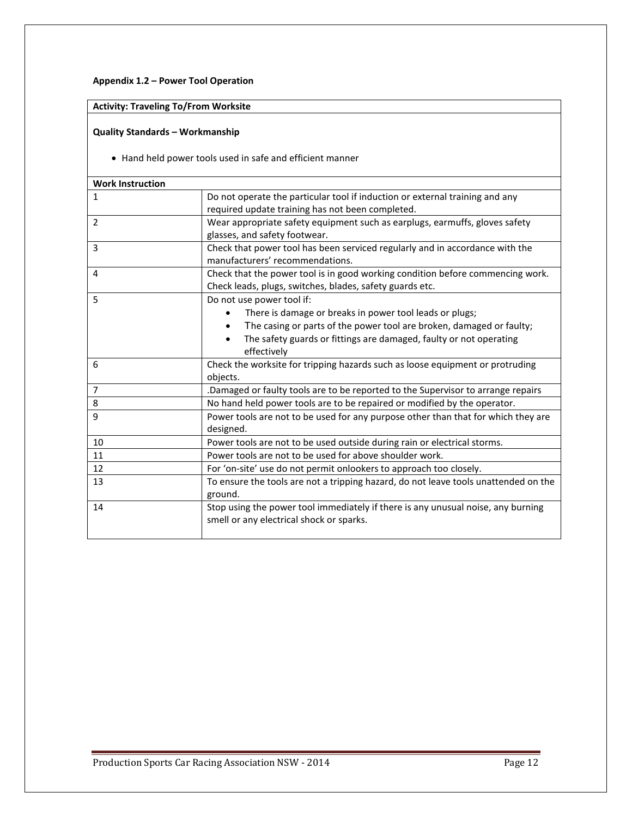# **Appendix 1.2 – Power Tool Operation**

# **Activity: Traveling To/From Worksite**

# **Quality Standards – Workmanship**

Hand held power tools used in safe and efficient manner

| <b>Work Instruction</b> |                                                                                     |
|-------------------------|-------------------------------------------------------------------------------------|
| $\mathbf{1}$            | Do not operate the particular tool if induction or external training and any        |
|                         | required update training has not been completed.                                    |
| $\overline{2}$          | Wear appropriate safety equipment such as earplugs, earmuffs, gloves safety         |
|                         | glasses, and safety footwear.                                                       |
| 3                       | Check that power tool has been serviced regularly and in accordance with the        |
|                         | manufacturers' recommendations.                                                     |
| 4                       | Check that the power tool is in good working condition before commencing work.      |
|                         | Check leads, plugs, switches, blades, safety guards etc.                            |
| 5                       | Do not use power tool if:                                                           |
|                         | There is damage or breaks in power tool leads or plugs;                             |
|                         | The casing or parts of the power tool are broken, damaged or faulty;                |
|                         | The safety guards or fittings are damaged, faulty or not operating                  |
|                         | effectively                                                                         |
| 6                       | Check the worksite for tripping hazards such as loose equipment or protruding       |
|                         | objects.                                                                            |
| $\overline{7}$          | Damaged or faulty tools are to be reported to the Supervisor to arrange repairs     |
| 8                       | No hand held power tools are to be repaired or modified by the operator.            |
| 9                       | Power tools are not to be used for any purpose other than that for which they are   |
|                         | designed.                                                                           |
| 10                      | Power tools are not to be used outside during rain or electrical storms.            |
| 11                      | Power tools are not to be used for above shoulder work.                             |
| 12                      | For 'on-site' use do not permit onlookers to approach too closely.                  |
| 13                      | To ensure the tools are not a tripping hazard, do not leave tools unattended on the |
|                         | ground.                                                                             |
| 14                      | Stop using the power tool immediately if there is any unusual noise, any burning    |
|                         | smell or any electrical shock or sparks.                                            |
|                         |                                                                                     |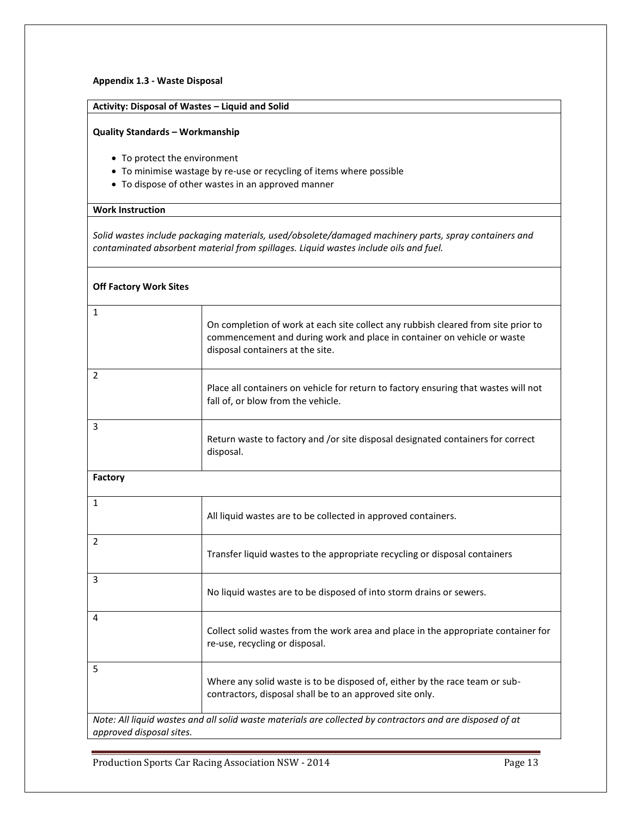### **Appendix 1.3 - Waste Disposal**

# **Activity: Disposal of Wastes – Liquid and Solid**

### **Quality Standards – Workmanship**

- To protect the environment
- To minimise wastage by re-use or recycling of items where possible
- To dispose of other wastes in an approved manner

# **Work Instruction**

*Solid wastes include packaging materials, used/obsolete/damaged machinery parts, spray containers and contaminated absorbent material from spillages. Liquid wastes include oils and fuel.*

| <b>Off Factory Work Sites</b> |                                                                                                                                                                                                  |
|-------------------------------|--------------------------------------------------------------------------------------------------------------------------------------------------------------------------------------------------|
| $\mathbf{1}$                  | On completion of work at each site collect any rubbish cleared from site prior to<br>commencement and during work and place in container on vehicle or waste<br>disposal containers at the site. |
| $\overline{2}$                | Place all containers on vehicle for return to factory ensuring that wastes will not<br>fall of, or blow from the vehicle.                                                                        |
| 3                             | Return waste to factory and /or site disposal designated containers for correct<br>disposal.                                                                                                     |
| <b>Factory</b>                |                                                                                                                                                                                                  |
| $\mathbf{1}$                  | All liquid wastes are to be collected in approved containers.                                                                                                                                    |
| $\overline{2}$                | Transfer liquid wastes to the appropriate recycling or disposal containers                                                                                                                       |
| 3                             | No liquid wastes are to be disposed of into storm drains or sewers.                                                                                                                              |
| 4                             | Collect solid wastes from the work area and place in the appropriate container for<br>re-use, recycling or disposal.                                                                             |
| 5                             | Where any solid waste is to be disposed of, either by the race team or sub-<br>contractors, disposal shall be to an approved site only.                                                          |
| approved disposal sites.      | Note: All liquid wastes and all solid waste materials are collected by contractors and are disposed of at                                                                                        |
|                               |                                                                                                                                                                                                  |

Production Sports Car Racing Association NSW - 2014 **Page 13** Page 13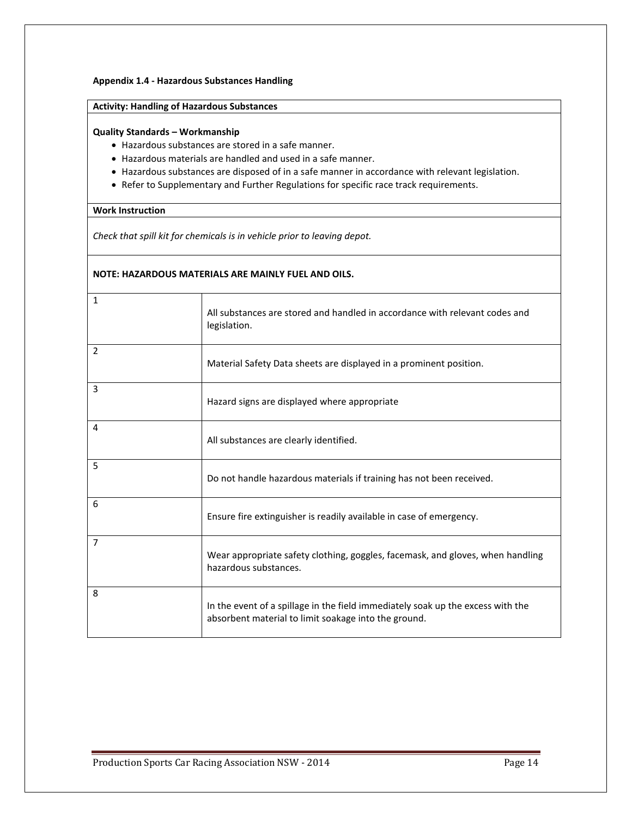### **Appendix 1.4 - Hazardous Substances Handling**

# **Activity: Handling of Hazardous Substances**

### **Quality Standards – Workmanship**

- Hazardous substances are stored in a safe manner.
- Hazardous materials are handled and used in a safe manner.
- Hazardous substances are disposed of in a safe manner in accordance with relevant legislation.
- Refer to Supplementary and Further Regulations for specific race track requirements.

### **Work Instruction**

*Check that spill kit for chemicals is in vehicle prior to leaving depot.*

# **NOTE: HAZARDOUS MATERIALS ARE MAINLY FUEL AND OILS.**

| $\mathbf{1}$   | All substances are stored and handled in accordance with relevant codes and<br>legislation.                                             |
|----------------|-----------------------------------------------------------------------------------------------------------------------------------------|
| $\overline{2}$ | Material Safety Data sheets are displayed in a prominent position.                                                                      |
| 3              | Hazard signs are displayed where appropriate                                                                                            |
| 4              | All substances are clearly identified.                                                                                                  |
| 5              | Do not handle hazardous materials if training has not been received.                                                                    |
| 6              | Ensure fire extinguisher is readily available in case of emergency.                                                                     |
| $\overline{7}$ | Wear appropriate safety clothing, goggles, facemask, and gloves, when handling<br>hazardous substances.                                 |
| 8              | In the event of a spillage in the field immediately soak up the excess with the<br>absorbent material to limit soakage into the ground. |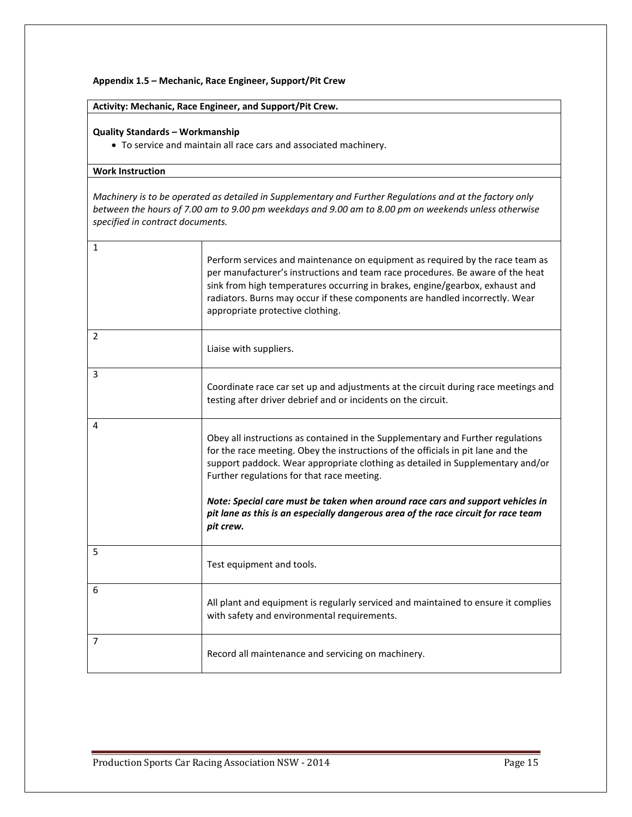### **Appendix 1.5 – Mechanic, Race Engineer, Support/Pit Crew**

# **Activity: Mechanic, Race Engineer, and Support/Pit Crew.**

### **Quality Standards – Workmanship**

To service and maintain all race cars and associated machinery.

# **Work Instruction**

*Machinery is to be operated as detailed in Supplementary and Further Regulations and at the factory only between the hours of 7.00 am to 9.00 pm weekdays and 9.00 am to 8.00 pm on weekends unless otherwise specified in contract documents.*

| 1              | Perform services and maintenance on equipment as required by the race team as<br>per manufacturer's instructions and team race procedures. Be aware of the heat<br>sink from high temperatures occurring in brakes, engine/gearbox, exhaust and<br>radiators. Burns may occur if these components are handled incorrectly. Wear<br>appropriate protective clothing.                                                                                                                      |
|----------------|------------------------------------------------------------------------------------------------------------------------------------------------------------------------------------------------------------------------------------------------------------------------------------------------------------------------------------------------------------------------------------------------------------------------------------------------------------------------------------------|
| $\overline{2}$ | Liaise with suppliers.                                                                                                                                                                                                                                                                                                                                                                                                                                                                   |
| 3              | Coordinate race car set up and adjustments at the circuit during race meetings and<br>testing after driver debrief and or incidents on the circuit.                                                                                                                                                                                                                                                                                                                                      |
| 4              | Obey all instructions as contained in the Supplementary and Further regulations<br>for the race meeting. Obey the instructions of the officials in pit lane and the<br>support paddock. Wear appropriate clothing as detailed in Supplementary and/or<br>Further regulations for that race meeting.<br>Note: Special care must be taken when around race cars and support vehicles in<br>pit lane as this is an especially dangerous area of the race circuit for race team<br>pit crew. |
| 5              | Test equipment and tools.                                                                                                                                                                                                                                                                                                                                                                                                                                                                |
| 6              | All plant and equipment is regularly serviced and maintained to ensure it complies<br>with safety and environmental requirements.                                                                                                                                                                                                                                                                                                                                                        |
| 7              | Record all maintenance and servicing on machinery.                                                                                                                                                                                                                                                                                                                                                                                                                                       |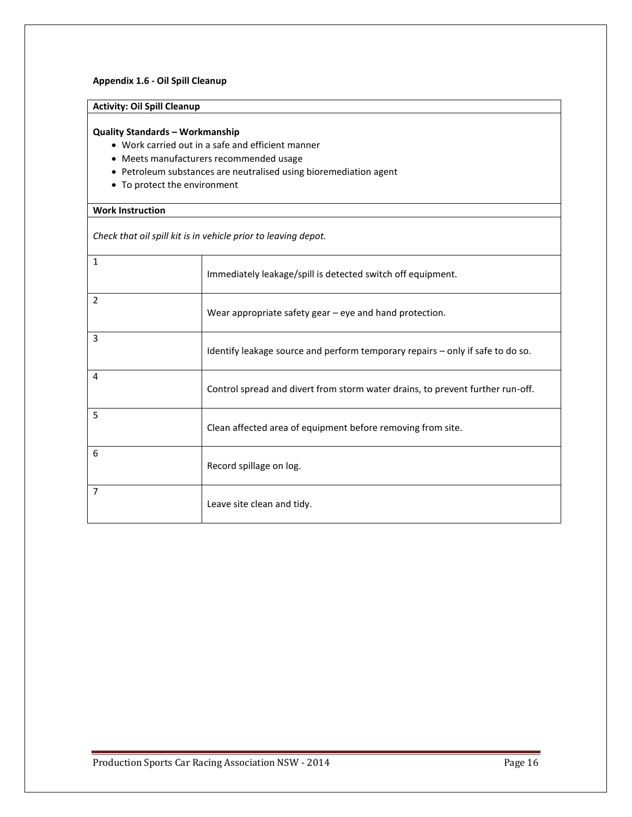### **Appendix 1.6 - Oil Spill Cleanup**

# **Activity: Oil Spill Cleanup**

### **Quality Standards – Workmanship**

- Work carried out in a safe and efficient manner
- Meets manufacturers recommended usage
- Petroleum substances are neutralised using bioremediation agent
- To protect the environment

### **Work Instruction**

*Check that oil spill kit is in vehicle prior to leaving depot.*

| $\mathbf{1}$   | Immediately leakage/spill is detected switch off equipment.                    |
|----------------|--------------------------------------------------------------------------------|
| $\overline{2}$ | Wear appropriate safety gear $-$ eye and hand protection.                      |
| 3              | Identify leakage source and perform temporary repairs - only if safe to do so. |
| 4              | Control spread and divert from storm water drains, to prevent further run-off. |
| 5              | Clean affected area of equipment before removing from site.                    |
| 6              | Record spillage on log.                                                        |
| 7              | Leave site clean and tidy.                                                     |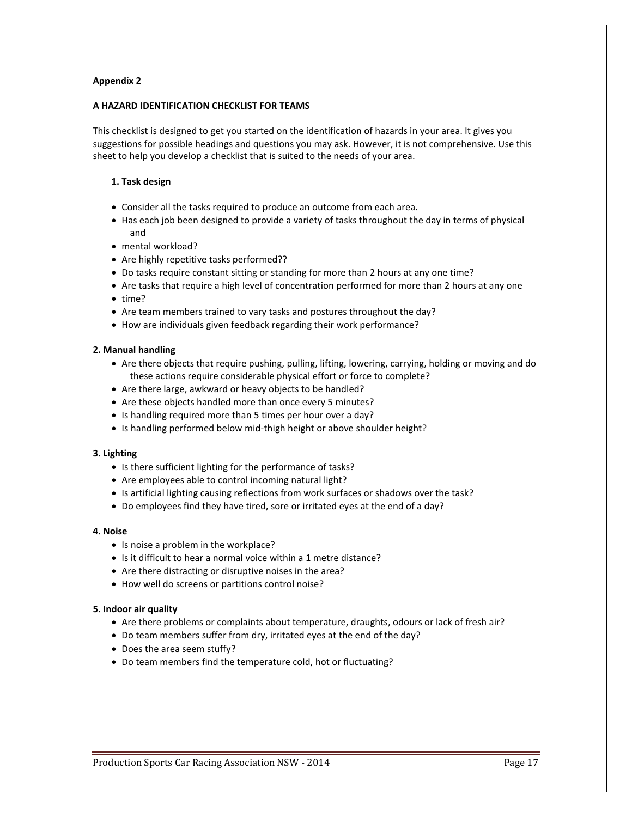### **A HAZARD IDENTIFICATION CHECKLIST FOR TEAMS**

This checklist is designed to get you started on the identification of hazards in your area. It gives you suggestions for possible headings and questions you may ask. However, it is not comprehensive. Use this sheet to help you develop a checklist that is suited to the needs of your area.

### **1. Task design**

- Consider all the tasks required to produce an outcome from each area.
- Has each job been designed to provide a variety of tasks throughout the day in terms of physical and
- mental workload?
- Are highly repetitive tasks performed??
- Do tasks require constant sitting or standing for more than 2 hours at any one time?
- Are tasks that require a high level of concentration performed for more than 2 hours at any one
- $\bullet$  time?
- Are team members trained to vary tasks and postures throughout the day?
- How are individuals given feedback regarding their work performance?

### **2. Manual handling**

- Are there objects that require pushing, pulling, lifting, lowering, carrying, holding or moving and do these actions require considerable physical effort or force to complete?
- Are there large, awkward or heavy objects to be handled?
- Are these objects handled more than once every 5 minutes?
- Is handling required more than 5 times per hour over a day?
- Is handling performed below mid-thigh height or above shoulder height?

### **3. Lighting**

- Is there sufficient lighting for the performance of tasks?
- Are employees able to control incoming natural light?
- Is artificial lighting causing reflections from work surfaces or shadows over the task?
- Do employees find they have tired, sore or irritated eyes at the end of a day?

### **4. Noise**

- Is noise a problem in the workplace?
- Is it difficult to hear a normal voice within a 1 metre distance?
- Are there distracting or disruptive noises in the area?
- How well do screens or partitions control noise?

### **5. Indoor air quality**

- Are there problems or complaints about temperature, draughts, odours or lack of fresh air?
- Do team members suffer from dry, irritated eyes at the end of the day?
- Does the area seem stuffy?
- Do team members find the temperature cold, hot or fluctuating?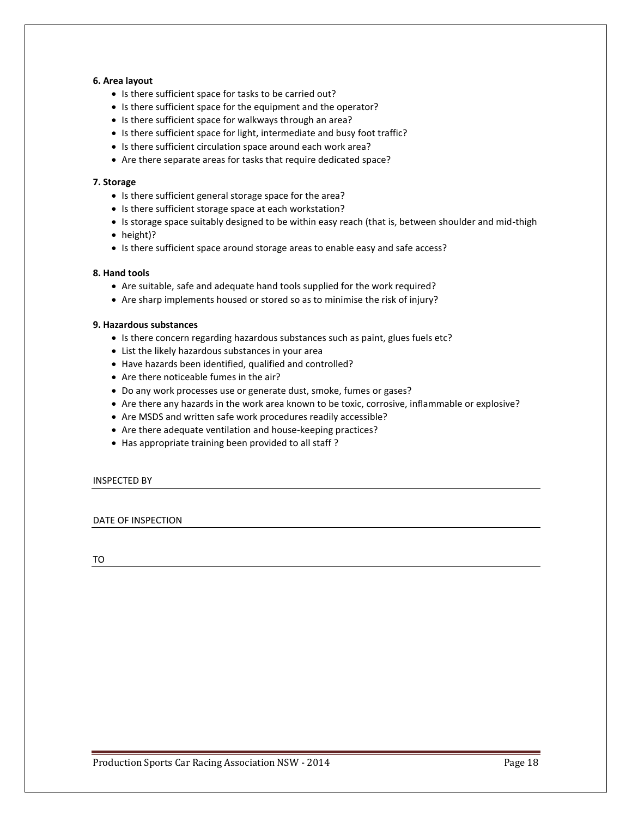### **6. Area layout**

- Is there sufficient space for tasks to be carried out?
- Is there sufficient space for the equipment and the operator?
- Is there sufficient space for walkways through an area?
- Is there sufficient space for light, intermediate and busy foot traffic?
- Is there sufficient circulation space around each work area?
- Are there separate areas for tasks that require dedicated space?

### **7. Storage**

- Is there sufficient general storage space for the area?
- Is there sufficient storage space at each workstation?
- Is storage space suitably designed to be within easy reach (that is, between shoulder and mid-thigh
- height)?
- Is there sufficient space around storage areas to enable easy and safe access?

### **8. Hand tools**

- Are suitable, safe and adequate hand tools supplied for the work required?
- Are sharp implements housed or stored so as to minimise the risk of injury?

### **9. Hazardous substances**

- Is there concern regarding hazardous substances such as paint, glues fuels etc?
- List the likely hazardous substances in your area
- Have hazards been identified, qualified and controlled?
- Are there noticeable fumes in the air?
- Do any work processes use or generate dust, smoke, fumes or gases?
- Are there any hazards in the work area known to be toxic, corrosive, inflammable or explosive?
- Are MSDS and written safe work procedures readily accessible?
- Are there adequate ventilation and house-keeping practices?
- Has appropriate training been provided to all staff?

### INSPECTED BY

### DATE OF INSPECTION

TO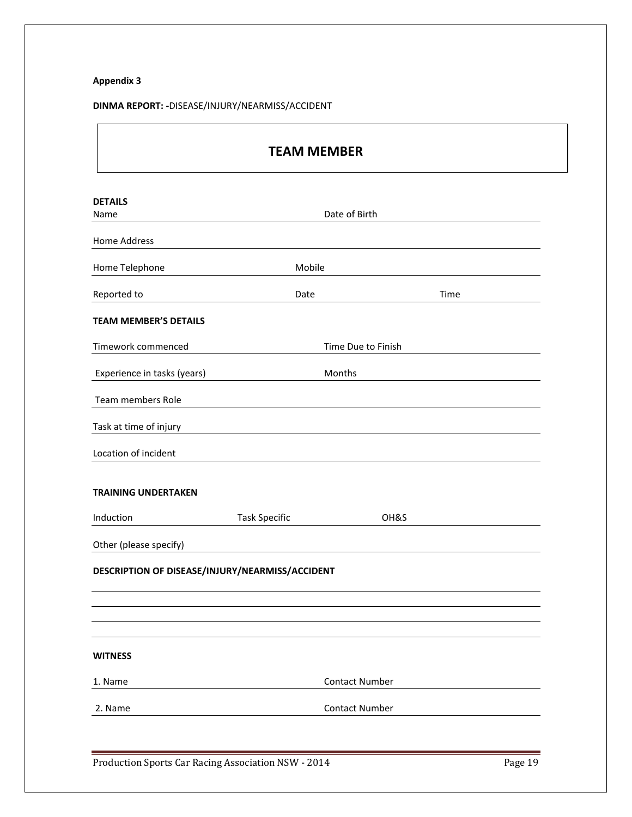# **DINMA REPORT: -**DISEASE/INJURY/NEARMISS/ACCIDENT

| <b>TEAM MEMBER</b>                              |                      |                       |      |  |  |
|-------------------------------------------------|----------------------|-----------------------|------|--|--|
| <b>DETAILS</b>                                  |                      |                       |      |  |  |
| Name                                            |                      | Date of Birth         |      |  |  |
| <b>Home Address</b>                             |                      |                       |      |  |  |
| Home Telephone                                  |                      | Mobile                |      |  |  |
| Reported to                                     | Date                 |                       | Time |  |  |
| <b>TEAM MEMBER'S DETAILS</b>                    |                      |                       |      |  |  |
| Timework commenced                              |                      | Time Due to Finish    |      |  |  |
| Experience in tasks (years)                     |                      | Months                |      |  |  |
| Team members Role                               |                      |                       |      |  |  |
| Task at time of injury                          |                      |                       |      |  |  |
| Location of incident                            |                      |                       |      |  |  |
| <b>TRAINING UNDERTAKEN</b>                      |                      |                       |      |  |  |
| Induction                                       | <b>Task Specific</b> | OH&S                  |      |  |  |
| Other (please specify)                          |                      |                       |      |  |  |
| DESCRIPTION OF DISEASE/INJURY/NEARMISS/ACCIDENT |                      |                       |      |  |  |
|                                                 |                      |                       |      |  |  |
|                                                 |                      |                       |      |  |  |
| <b>WITNESS</b>                                  |                      |                       |      |  |  |
| 1. Name                                         |                      | <b>Contact Number</b> |      |  |  |
| 2. Name                                         |                      | <b>Contact Number</b> |      |  |  |
|                                                 |                      |                       |      |  |  |

Production Sports Car Racing Association NSW - 2014 Page 19

٦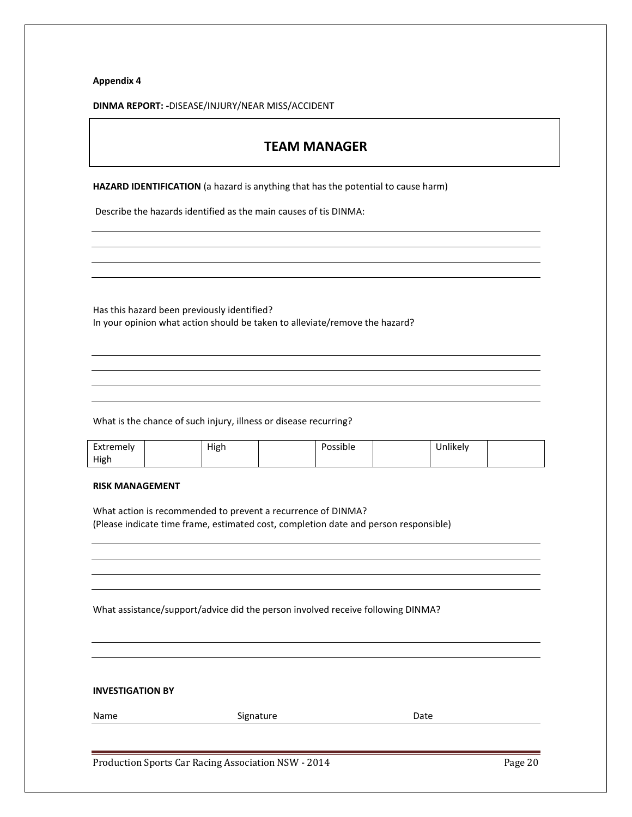**DINMA REPORT: -**DISEASE/INJURY/NEAR MISS/ACCIDENT

# **TEAM MANAGER**

**HAZARD IDENTIFICATION** (a hazard is anything that has the potential to cause harm)

Describe the hazards identified as the main causes of tis DINMA:

Has this hazard been previously identified? In your opinion what action should be taken to alleviate/remove the hazard?

What is the chance of such injury, illness or disease recurring?

| Extremely | High | Possible | Jnlikely |  |
|-----------|------|----------|----------|--|
| High      |      |          |          |  |

### **RISK MANAGEMENT**

What action is recommended to prevent a recurrence of DINMA? (Please indicate time frame, estimated cost, completion date and person responsible)

What assistance/support/advice did the person involved receive following DINMA?

**INVESTIGATION BY**

| Name | Signature | Date |
|------|-----------|------|
|      |           |      |

Production Sports Car Racing Association NSW - 2014 **Page 20** Page 20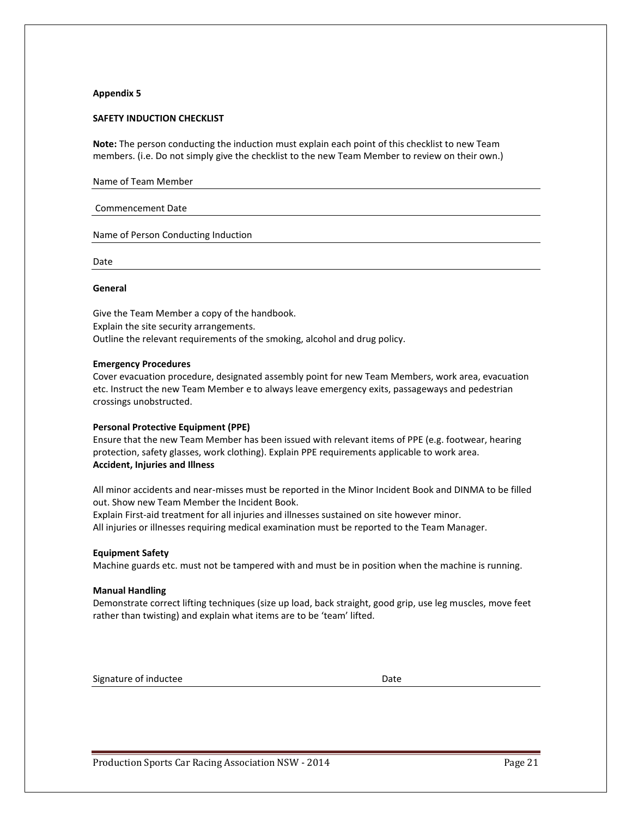### **SAFETY INDUCTION CHECKLIST**

**Note:** The person conducting the induction must explain each point of this checklist to new Team members. (i.e. Do not simply give the checklist to the new Team Member to review on their own.)

| Name of Team Member |  |  |  |  |
|---------------------|--|--|--|--|
|---------------------|--|--|--|--|

#### Commencement Date

Name of Person Conducting Induction

Date

#### **General**

Give the Team Member a copy of the handbook. Explain the site security arrangements. Outline the relevant requirements of the smoking, alcohol and drug policy.

#### **Emergency Procedures**

Cover evacuation procedure, designated assembly point for new Team Members, work area, evacuation etc. Instruct the new Team Member e to always leave emergency exits, passageways and pedestrian crossings unobstructed.

### **Personal Protective Equipment (PPE)**

Ensure that the new Team Member has been issued with relevant items of PPE (e.g. footwear, hearing protection, safety glasses, work clothing). Explain PPE requirements applicable to work area. **Accident, Injuries and Illness**

All minor accidents and near-misses must be reported in the Minor Incident Book and DINMA to be filled out. Show new Team Member the Incident Book.

Explain First-aid treatment for all injuries and illnesses sustained on site however minor. All injuries or illnesses requiring medical examination must be reported to the Team Manager.

#### **Equipment Safety**

Machine guards etc. must not be tampered with and must be in position when the machine is running.

#### **Manual Handling**

Demonstrate correct lifting techniques (size up load, back straight, good grip, use leg muscles, move feet rather than twisting) and explain what items are to be 'team' lifted.

Signature of inductee Date Date Date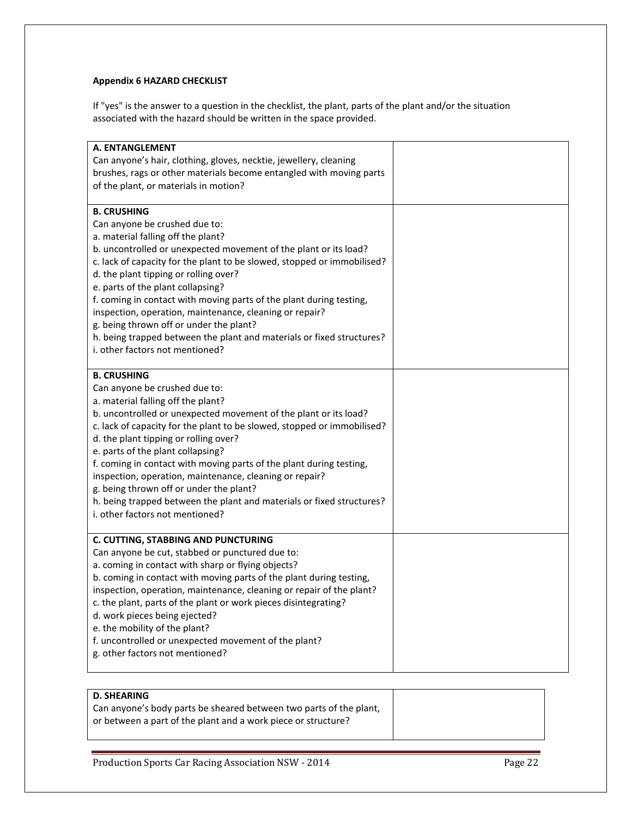# **Appendix 6 HAZARD CHECKLIST**

If "yes" is the answer to a question in the checklist, the plant, parts of the plant and/or the situation associated with the hazard should be written in the space provided.

| A. ENTANGLEMENT<br>Can anyone's hair, clothing, gloves, necktie, jewellery, cleaning<br>brushes, rags or other materials become entangled with moving parts<br>of the plant, or materials in motion?                                                                                                                                                                                                                                                                                                                                                                                                            |  |
|-----------------------------------------------------------------------------------------------------------------------------------------------------------------------------------------------------------------------------------------------------------------------------------------------------------------------------------------------------------------------------------------------------------------------------------------------------------------------------------------------------------------------------------------------------------------------------------------------------------------|--|
| <b>B. CRUSHING</b><br>Can anyone be crushed due to:<br>a. material falling off the plant?<br>b. uncontrolled or unexpected movement of the plant or its load?<br>c. lack of capacity for the plant to be slowed, stopped or immobilised?<br>d. the plant tipping or rolling over?<br>e. parts of the plant collapsing?<br>f. coming in contact with moving parts of the plant during testing,<br>inspection, operation, maintenance, cleaning or repair?<br>g. being thrown off or under the plant?<br>h. being trapped between the plant and materials or fixed structures?<br>i. other factors not mentioned? |  |
| <b>B. CRUSHING</b><br>Can anyone be crushed due to:<br>a. material falling off the plant?<br>b. uncontrolled or unexpected movement of the plant or its load?<br>c. lack of capacity for the plant to be slowed, stopped or immobilised?<br>d. the plant tipping or rolling over?<br>e. parts of the plant collapsing?<br>f. coming in contact with moving parts of the plant during testing,<br>inspection, operation, maintenance, cleaning or repair?<br>g. being thrown off or under the plant?<br>h. being trapped between the plant and materials or fixed structures?<br>i. other factors not mentioned? |  |
| C. CUTTING, STABBING AND PUNCTURING<br>Can anyone be cut, stabbed or punctured due to:<br>a. coming in contact with sharp or flying objects?<br>b. coming in contact with moving parts of the plant during testing,<br>inspection, operation, maintenance, cleaning or repair of the plant?<br>c. the plant, parts of the plant or work pieces disintegrating?<br>d. work pieces being ejected?<br>e. the mobility of the plant?<br>f. uncontrolled or unexpected movement of the plant?<br>g. other factors not mentioned?                                                                                     |  |

# **D. SHEARING**

| Can anyone's body parts be sheared between two parts of the plant, |  |
|--------------------------------------------------------------------|--|
| or between a part of the plant and a work piece or structure?      |  |

Production Sports Car Racing Association NSW - 2014 Page 22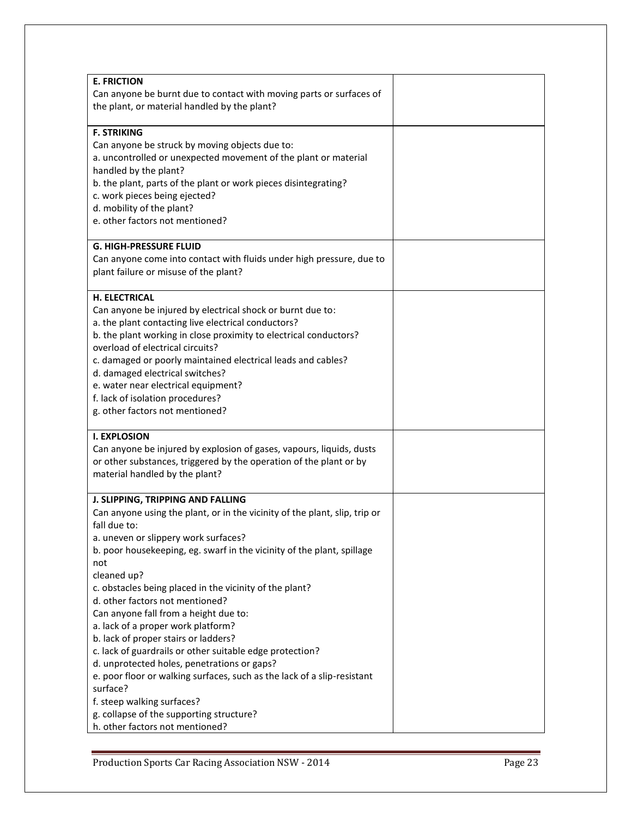| <b>E. FRICTION</b>                                                         |  |
|----------------------------------------------------------------------------|--|
| Can anyone be burnt due to contact with moving parts or surfaces of        |  |
| the plant, or material handled by the plant?                               |  |
|                                                                            |  |
| <b>F. STRIKING</b>                                                         |  |
|                                                                            |  |
| Can anyone be struck by moving objects due to:                             |  |
| a. uncontrolled or unexpected movement of the plant or material            |  |
| handled by the plant?                                                      |  |
| b. the plant, parts of the plant or work pieces disintegrating?            |  |
| c. work pieces being ejected?                                              |  |
| d. mobility of the plant?                                                  |  |
| e. other factors not mentioned?                                            |  |
| <b>G. HIGH-PRESSURE FLUID</b>                                              |  |
| Can anyone come into contact with fluids under high pressure, due to       |  |
|                                                                            |  |
| plant failure or misuse of the plant?                                      |  |
| H. ELECTRICAL                                                              |  |
| Can anyone be injured by electrical shock or burnt due to:                 |  |
| a. the plant contacting live electrical conductors?                        |  |
| b. the plant working in close proximity to electrical conductors?          |  |
| overload of electrical circuits?                                           |  |
| c. damaged or poorly maintained electrical leads and cables?               |  |
| d. damaged electrical switches?                                            |  |
| e. water near electrical equipment?                                        |  |
| f. lack of isolation procedures?                                           |  |
| g. other factors not mentioned?                                            |  |
|                                                                            |  |
| <b>I. EXPLOSION</b>                                                        |  |
| Can anyone be injured by explosion of gases, vapours, liquids, dusts       |  |
| or other substances, triggered by the operation of the plant or by         |  |
| material handled by the plant?                                             |  |
|                                                                            |  |
| J. SLIPPING, TRIPPING AND FALLING                                          |  |
| Can anyone using the plant, or in the vicinity of the plant, slip, trip or |  |
| fall due to:                                                               |  |
| a. uneven or slippery work surfaces?                                       |  |
| b. poor housekeeping, eg. swarf in the vicinity of the plant, spillage     |  |
| not                                                                        |  |
| cleaned up?                                                                |  |
| c. obstacles being placed in the vicinity of the plant?                    |  |
| d. other factors not mentioned?                                            |  |
| Can anyone fall from a height due to:                                      |  |
| a. lack of a proper work platform?                                         |  |
| b. lack of proper stairs or ladders?                                       |  |
| c. lack of guardrails or other suitable edge protection?                   |  |
| d. unprotected holes, penetrations or gaps?                                |  |
| e. poor floor or walking surfaces, such as the lack of a slip-resistant    |  |
| surface?                                                                   |  |
| f. steep walking surfaces?                                                 |  |
| g. collapse of the supporting structure?                                   |  |
| h. other factors not mentioned?                                            |  |
|                                                                            |  |